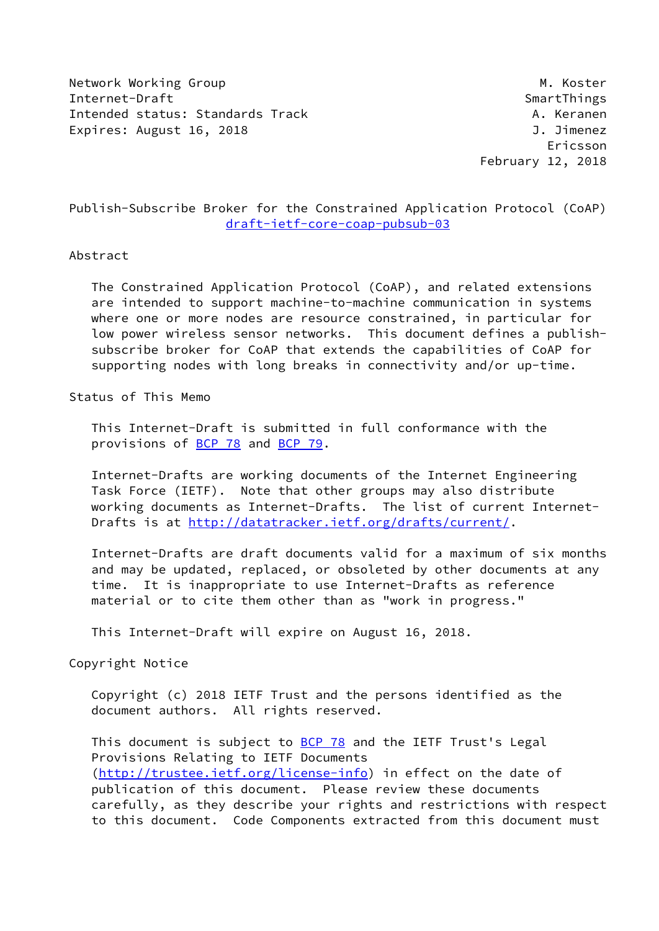Network Working Group Manuscript Communication of the Manuscript Manuscript Manuscript Manuscript Ma Internet-Draft SmartThings Intended status: Standards Track A. Keranen Expires: August 16, 2018 **J. Jimenez** 

 Ericsson February 12, 2018

# Publish-Subscribe Broker for the Constrained Application Protocol (CoAP) [draft-ietf-core-coap-pubsub-03](https://datatracker.ietf.org/doc/pdf/draft-ietf-core-coap-pubsub-03)

### Abstract

 The Constrained Application Protocol (CoAP), and related extensions are intended to support machine-to-machine communication in systems where one or more nodes are resource constrained, in particular for low power wireless sensor networks. This document defines a publish subscribe broker for CoAP that extends the capabilities of CoAP for supporting nodes with long breaks in connectivity and/or up-time.

## Status of This Memo

 This Internet-Draft is submitted in full conformance with the provisions of **BCP 78** and **BCP 79**.

 Internet-Drafts are working documents of the Internet Engineering Task Force (IETF). Note that other groups may also distribute working documents as Internet-Drafts. The list of current Internet Drafts is at<http://datatracker.ietf.org/drafts/current/>.

 Internet-Drafts are draft documents valid for a maximum of six months and may be updated, replaced, or obsoleted by other documents at any time. It is inappropriate to use Internet-Drafts as reference material or to cite them other than as "work in progress."

This Internet-Draft will expire on August 16, 2018.

Copyright Notice

 Copyright (c) 2018 IETF Trust and the persons identified as the document authors. All rights reserved.

This document is subject to **[BCP 78](https://datatracker.ietf.org/doc/pdf/bcp78)** and the IETF Trust's Legal Provisions Relating to IETF Documents [\(http://trustee.ietf.org/license-info](http://trustee.ietf.org/license-info)) in effect on the date of publication of this document. Please review these documents carefully, as they describe your rights and restrictions with respect to this document. Code Components extracted from this document must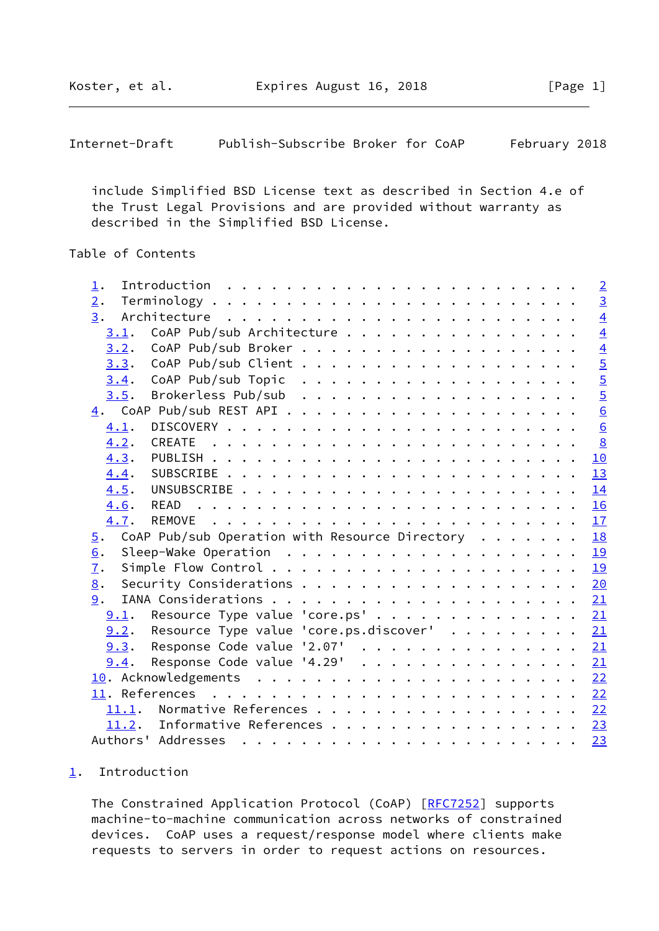<span id="page-1-1"></span>

| Internet-Draft | Publish-Subscribe Broker for CoAP |  |  | February 2018 |  |
|----------------|-----------------------------------|--|--|---------------|--|
|----------------|-----------------------------------|--|--|---------------|--|

 include Simplified BSD License text as described in Section 4.e of the Trust Legal Provisions and are provided without warranty as described in the Simplified BSD License.

# Table of Contents

| $\perp$ .                                                                                          | $\overline{2}$    |
|----------------------------------------------------------------------------------------------------|-------------------|
| 2.                                                                                                 | $\overline{3}$    |
| $\overline{3}$ .                                                                                   | $\overline{4}$    |
| CoAP Pub/sub Architecture<br>3.1.                                                                  | $\overline{4}$    |
| 3.2.                                                                                               | $\overline{4}$    |
| 3.3.                                                                                               |                   |
| 3.4.                                                                                               |                   |
| 3.5.                                                                                               |                   |
|                                                                                                    | <b>D</b>  U  U  U |
| 4.1.                                                                                               | $\underline{6}$   |
| 4.2.                                                                                               | $\frac{8}{2}$     |
| 4.3.                                                                                               | 10                |
| 4.4.                                                                                               | 13                |
| 4.5.                                                                                               | 14                |
| 4.6.                                                                                               | 16                |
| 4.7.                                                                                               | 17                |
| CoAP Pub/sub Operation with Resource Directory $\cdot \cdot \cdot \cdot \cdot$<br>$\overline{5}$ . | 18                |
| 6.                                                                                                 | 19                |
| $\overline{1}$ .                                                                                   | 19                |
| Security Considerations 20<br>8.                                                                   |                   |
| 9.                                                                                                 |                   |
| 9.1. Resource Type value 'core.ps' 21                                                              |                   |
| Resource Type value 'core.ps.discover' 21<br>9.2.                                                  |                   |
| Response Code value '2.07' 21<br>9.3.                                                              |                   |
| Response Code value '4.29' $\ldots$ 21<br>9.4.                                                     |                   |
|                                                                                                    |                   |
|                                                                                                    |                   |
| 11.1. Normative References                                                                         | 22                |
| Informative References 23<br>11.2.                                                                 |                   |
|                                                                                                    | 23                |
|                                                                                                    |                   |

# <span id="page-1-0"></span>[1](#page-1-0). Introduction

The Constrained Application Protocol (CoAP) [\[RFC7252](https://datatracker.ietf.org/doc/pdf/rfc7252)] supports machine-to-machine communication across networks of constrained devices. CoAP uses a request/response model where clients make requests to servers in order to request actions on resources.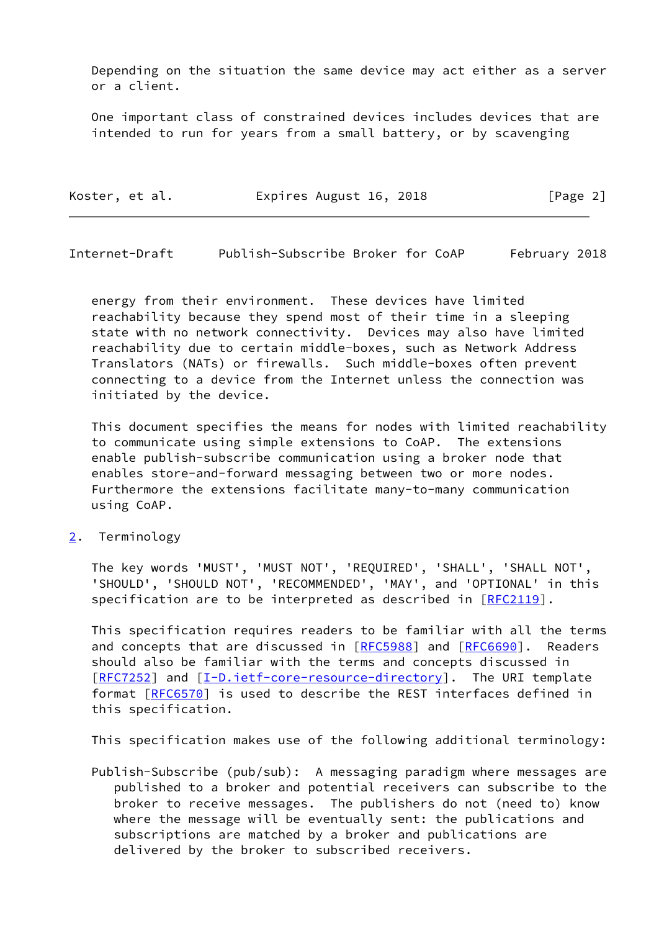Depending on the situation the same device may act either as a server or a client.

 One important class of constrained devices includes devices that are intended to run for years from a small battery, or by scavenging

| Koster, et al. | Expires August 16, 2018 | [Page 2] |
|----------------|-------------------------|----------|
|                |                         |          |

<span id="page-2-1"></span>Internet-Draft Publish-Subscribe Broker for CoAP February 2018

 energy from their environment. These devices have limited reachability because they spend most of their time in a sleeping state with no network connectivity. Devices may also have limited reachability due to certain middle-boxes, such as Network Address Translators (NATs) or firewalls. Such middle-boxes often prevent connecting to a device from the Internet unless the connection was initiated by the device.

 This document specifies the means for nodes with limited reachability to communicate using simple extensions to CoAP. The extensions enable publish-subscribe communication using a broker node that enables store-and-forward messaging between two or more nodes. Furthermore the extensions facilitate many-to-many communication using CoAP.

<span id="page-2-0"></span>[2](#page-2-0). Terminology

 The key words 'MUST', 'MUST NOT', 'REQUIRED', 'SHALL', 'SHALL NOT', 'SHOULD', 'SHOULD NOT', 'RECOMMENDED', 'MAY', and 'OPTIONAL' in this specification are to be interpreted as described in [\[RFC2119](https://datatracker.ietf.org/doc/pdf/rfc2119)].

 This specification requires readers to be familiar with all the terms and concepts that are discussed in [[RFC5988\]](https://datatracker.ietf.org/doc/pdf/rfc5988) and [\[RFC6690](https://datatracker.ietf.org/doc/pdf/rfc6690)]. Readers should also be familiar with the terms and concepts discussed in [\[RFC7252](https://datatracker.ietf.org/doc/pdf/rfc7252)] and [[I-D.ietf-core-resource-directory\]](#page-25-1). The URI template format [\[RFC6570](https://datatracker.ietf.org/doc/pdf/rfc6570)] is used to describe the REST interfaces defined in this specification.

This specification makes use of the following additional terminology:

 Publish-Subscribe (pub/sub): A messaging paradigm where messages are published to a broker and potential receivers can subscribe to the broker to receive messages. The publishers do not (need to) know where the message will be eventually sent: the publications and subscriptions are matched by a broker and publications are delivered by the broker to subscribed receivers.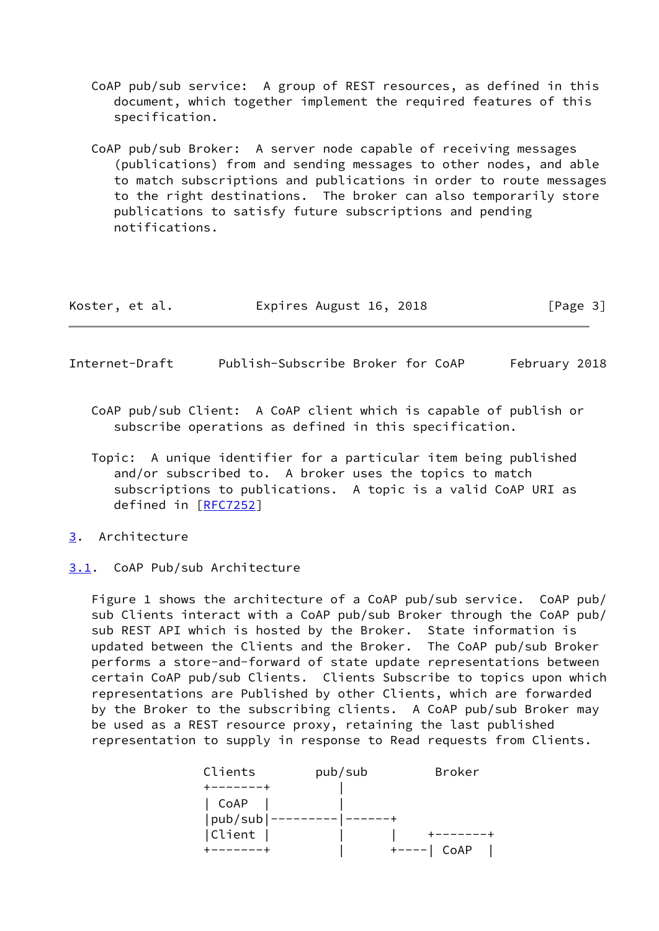- CoAP pub/sub service: A group of REST resources, as defined in this document, which together implement the required features of this specification.
- CoAP pub/sub Broker: A server node capable of receiving messages (publications) from and sending messages to other nodes, and able to match subscriptions and publications in order to route messages to the right destinations. The broker can also temporarily store publications to satisfy future subscriptions and pending notifications.

| Koster, et al. | Expires August 16, 2018 | [Page 3] |
|----------------|-------------------------|----------|
|----------------|-------------------------|----------|

- <span id="page-3-1"></span>Internet-Draft Publish-Subscribe Broker for CoAP February 2018
	- CoAP pub/sub Client: A CoAP client which is capable of publish or subscribe operations as defined in this specification.
	- Topic: A unique identifier for a particular item being published and/or subscribed to. A broker uses the topics to match subscriptions to publications. A topic is a valid CoAP URI as defined in [[RFC7252](https://datatracker.ietf.org/doc/pdf/rfc7252)]
- <span id="page-3-0"></span>[3](#page-3-0). Architecture
- <span id="page-3-2"></span>[3.1](#page-3-2). CoAP Pub/sub Architecture

 Figure 1 shows the architecture of a CoAP pub/sub service. CoAP pub/ sub Clients interact with a CoAP pub/sub Broker through the CoAP pub/ sub REST API which is hosted by the Broker. State information is updated between the Clients and the Broker. The CoAP pub/sub Broker performs a store-and-forward of state update representations between certain CoAP pub/sub Clients. Clients Subscribe to topics upon which representations are Published by other Clients, which are forwarded by the Broker to the subscribing clients. A CoAP pub/sub Broker may be used as a REST resource proxy, retaining the last published representation to supply in response to Read requests from Clients.

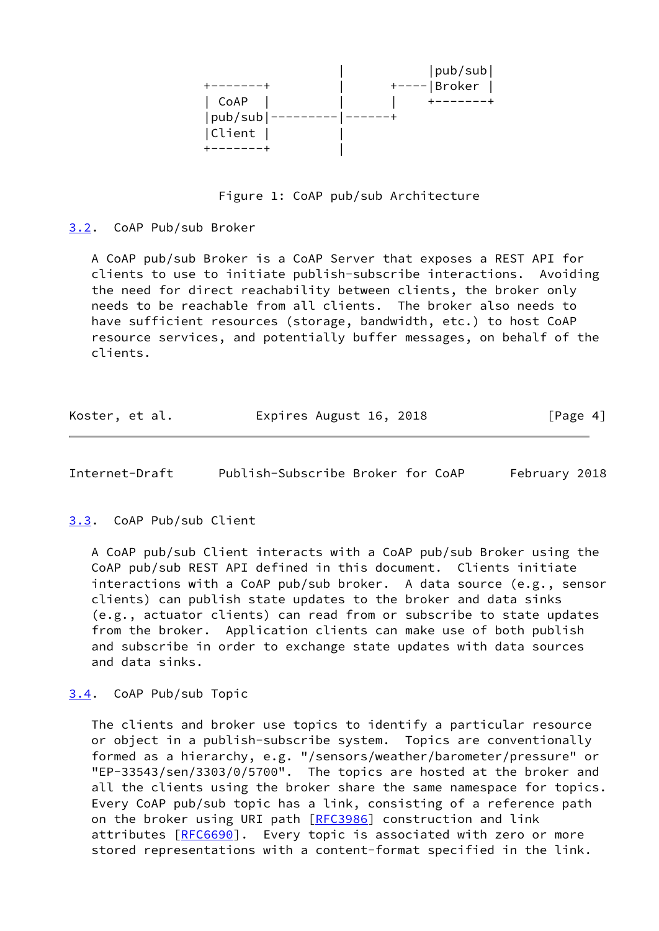|         | pub/sub       |
|---------|---------------|
|         | $+--- Broke $ |
| CoAP    |               |
| pub/sub |               |
| Client  |               |
|         |               |

Figure 1: CoAP pub/sub Architecture

<span id="page-4-0"></span>[3.2](#page-4-0). CoAP Pub/sub Broker

 A CoAP pub/sub Broker is a CoAP Server that exposes a REST API for clients to use to initiate publish-subscribe interactions. Avoiding the need for direct reachability between clients, the broker only needs to be reachable from all clients. The broker also needs to have sufficient resources (storage, bandwidth, etc.) to host CoAP resource services, and potentially buffer messages, on behalf of the clients.

| Koster, et al. | Expires August 16, 2018 | [Page 4] |
|----------------|-------------------------|----------|
|----------------|-------------------------|----------|

<span id="page-4-2"></span>Internet-Draft Publish-Subscribe Broker for CoAP February 2018

# <span id="page-4-1"></span>[3.3](#page-4-1). CoAP Pub/sub Client

 A CoAP pub/sub Client interacts with a CoAP pub/sub Broker using the CoAP pub/sub REST API defined in this document. Clients initiate interactions with a CoAP pub/sub broker. A data source (e.g., sensor clients) can publish state updates to the broker and data sinks (e.g., actuator clients) can read from or subscribe to state updates from the broker. Application clients can make use of both publish and subscribe in order to exchange state updates with data sources and data sinks.

### <span id="page-4-3"></span>[3.4](#page-4-3). CoAP Pub/sub Topic

 The clients and broker use topics to identify a particular resource or object in a publish-subscribe system. Topics are conventionally formed as a hierarchy, e.g. "/sensors/weather/barometer/pressure" or "EP-33543/sen/3303/0/5700". The topics are hosted at the broker and all the clients using the broker share the same namespace for topics. Every CoAP pub/sub topic has a link, consisting of a reference path on the broker using URI path [\[RFC3986](https://datatracker.ietf.org/doc/pdf/rfc3986)] construction and link attributes [[RFC6690\]](https://datatracker.ietf.org/doc/pdf/rfc6690). Every topic is associated with zero or more stored representations with a content-format specified in the link.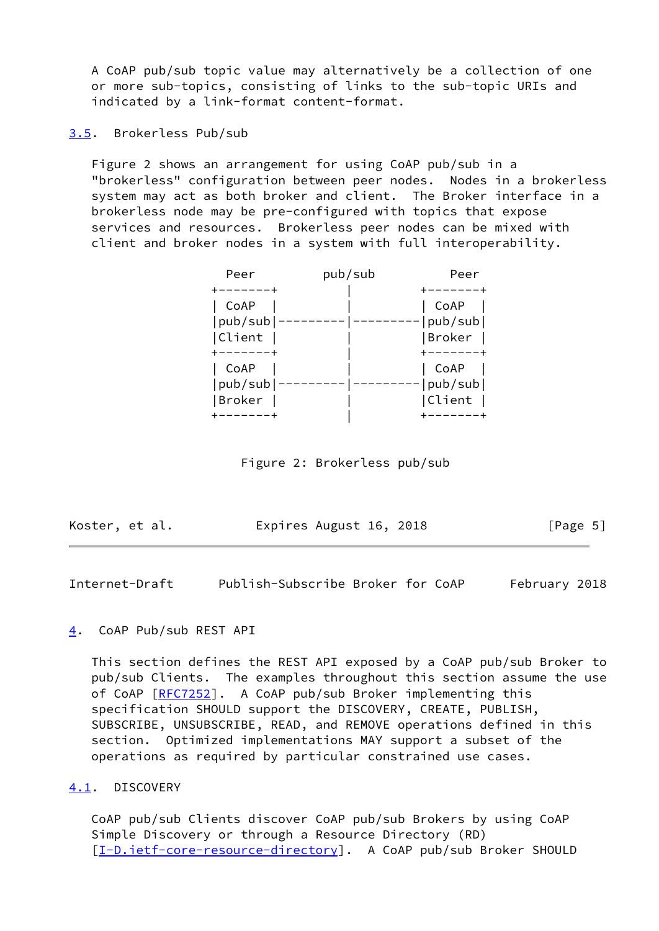A CoAP pub/sub topic value may alternatively be a collection of one or more sub-topics, consisting of links to the sub-topic URIs and indicated by a link-format content-format.

<span id="page-5-0"></span>[3.5](#page-5-0). Brokerless Pub/sub

 Figure 2 shows an arrangement for using CoAP pub/sub in a "brokerless" configuration between peer nodes. Nodes in a brokerless system may act as both broker and client. The Broker interface in a brokerless node may be pre-configured with topics that expose services and resources. Brokerless peer nodes can be mixed with client and broker nodes in a system with full interoperability.

| Peer          | pub/sub | Peer    |
|---------------|---------|---------|
|               |         |         |
| CoAP          |         | CoAP    |
| pub/sub       |         | pub/sub |
| Client        |         | Broker  |
|               |         |         |
| CoAP          |         | CoAP    |
| pub/sub       |         | pub/sub |
| <b>Broker</b> |         | Client  |
|               |         |         |

Figure 2: Brokerless pub/sub

| Koster, et al. | Expires August 16, 2018 | [Page 5] |
|----------------|-------------------------|----------|
|----------------|-------------------------|----------|

<span id="page-5-2"></span>Internet-Draft Publish-Subscribe Broker for CoAP February 2018

### <span id="page-5-1"></span>[4](#page-5-1). CoAP Pub/sub REST API

 This section defines the REST API exposed by a CoAP pub/sub Broker to pub/sub Clients. The examples throughout this section assume the use of CoAP [\[RFC7252](https://datatracker.ietf.org/doc/pdf/rfc7252)]. A CoAP pub/sub Broker implementing this specification SHOULD support the DISCOVERY, CREATE, PUBLISH, SUBSCRIBE, UNSUBSCRIBE, READ, and REMOVE operations defined in this section. Optimized implementations MAY support a subset of the operations as required by particular constrained use cases.

### <span id="page-5-3"></span>[4.1](#page-5-3). DISCOVERY

 CoAP pub/sub Clients discover CoAP pub/sub Brokers by using CoAP Simple Discovery or through a Resource Directory (RD) [\[I-D.ietf-core-resource-directory](#page-25-1)]. A CoAP pub/sub Broker SHOULD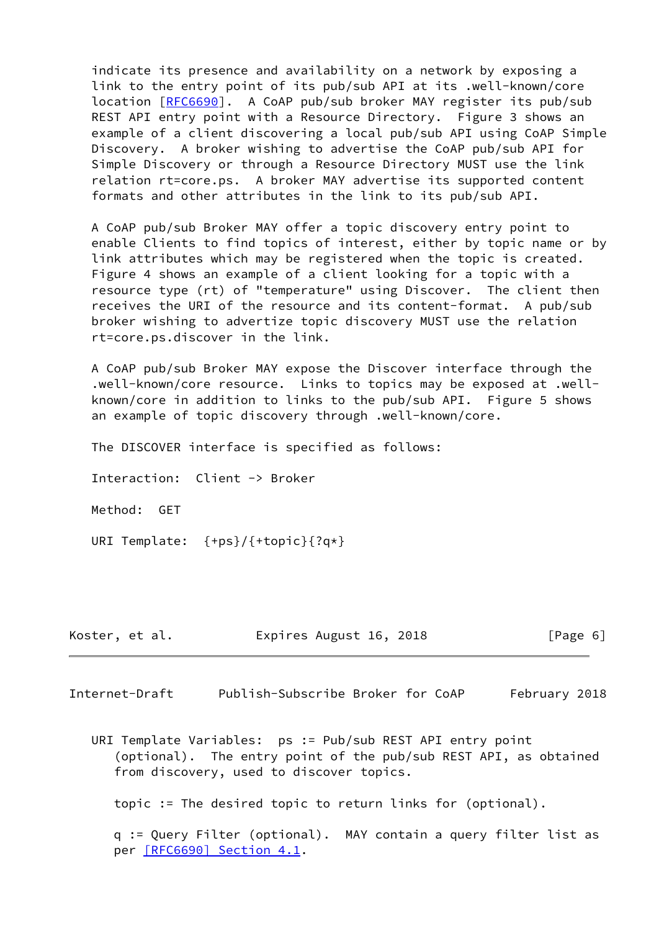indicate its presence and availability on a network by exposing a link to the entry point of its pub/sub API at its .well-known/core location [\[RFC6690](https://datatracker.ietf.org/doc/pdf/rfc6690)]. A CoAP pub/sub broker MAY register its pub/sub REST API entry point with a Resource Directory. Figure 3 shows an example of a client discovering a local pub/sub API using CoAP Simple Discovery. A broker wishing to advertise the CoAP pub/sub API for Simple Discovery or through a Resource Directory MUST use the link relation rt=core.ps. A broker MAY advertise its supported content formats and other attributes in the link to its pub/sub API.

 A CoAP pub/sub Broker MAY offer a topic discovery entry point to enable Clients to find topics of interest, either by topic name or by link attributes which may be registered when the topic is created. Figure 4 shows an example of a client looking for a topic with a resource type (rt) of "temperature" using Discover. The client then receives the URI of the resource and its content-format. A pub/sub broker wishing to advertize topic discovery MUST use the relation rt=core.ps.discover in the link.

 A CoAP pub/sub Broker MAY expose the Discover interface through the .well-known/core resource. Links to topics may be exposed at .well known/core in addition to links to the pub/sub API. Figure 5 shows an example of topic discovery through .well-known/core.

The DISCOVER interface is specified as follows:

Interaction: Client -> Broker

Method: GET

URI Template: {+ps}/{+topic}{?q\*}

| Koster, et al. | Expires August 16, 2018 | [Page 6] |
|----------------|-------------------------|----------|
|----------------|-------------------------|----------|

Internet-Draft Publish-Subscribe Broker for CoAP February 2018

 URI Template Variables: ps := Pub/sub REST API entry point (optional). The entry point of the pub/sub REST API, as obtained from discovery, used to discover topics.

topic := The desired topic to return links for (optional).

 q := Query Filter (optional). MAY contain a query filter list as per [\[RFC6690\] Section](https://datatracker.ietf.org/doc/pdf/rfc6690#section-4.1) 4.1.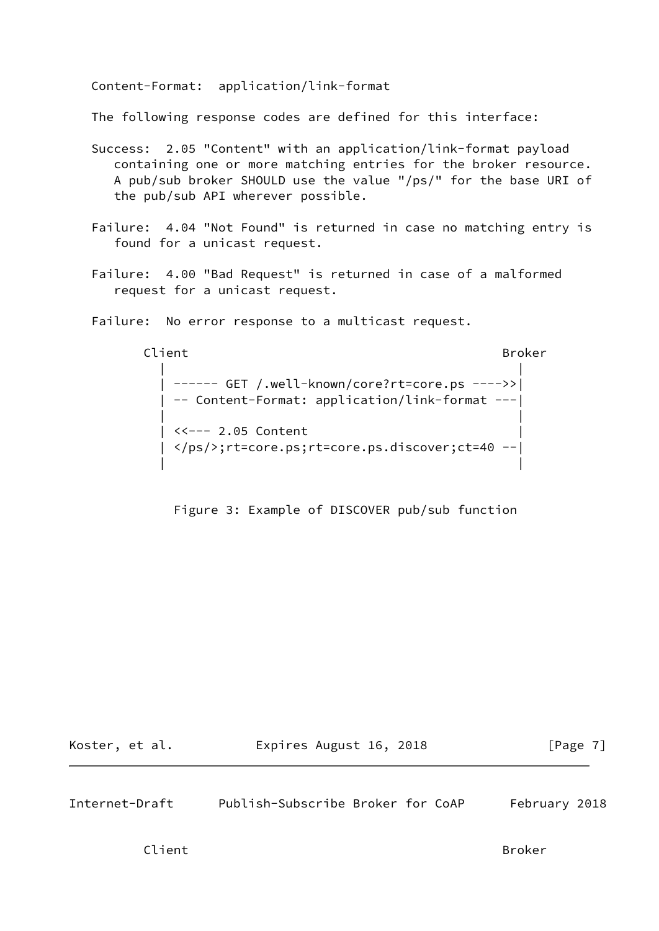Content-Format: application/link-format

The following response codes are defined for this interface:

- Success: 2.05 "Content" with an application/link-format payload containing one or more matching entries for the broker resource. A pub/sub broker SHOULD use the value "/ps/" for the base URI of the pub/sub API wherever possible.
- Failure: 4.04 "Not Found" is returned in case no matching entry is found for a unicast request.
- Failure: 4.00 "Bad Request" is returned in case of a malformed request for a unicast request.

Failure: No error response to a multicast request.

Client Broker and Broker and Broker and Broker

 | | | ------ GET /.well-known/core?rt=core.ps ---->>| | -- Content-Format: application/link-format ---| | | <<--- 2.05 Content | </ps/>;rt=core.ps;rt=core.ps.discover;ct=40 --| | |

Figure 3: Example of DISCOVER pub/sub function

Koster, et al. **Expires August 16, 2018** [Page 7]

<span id="page-7-0"></span>Internet-Draft Publish-Subscribe Broker for CoAP February 2018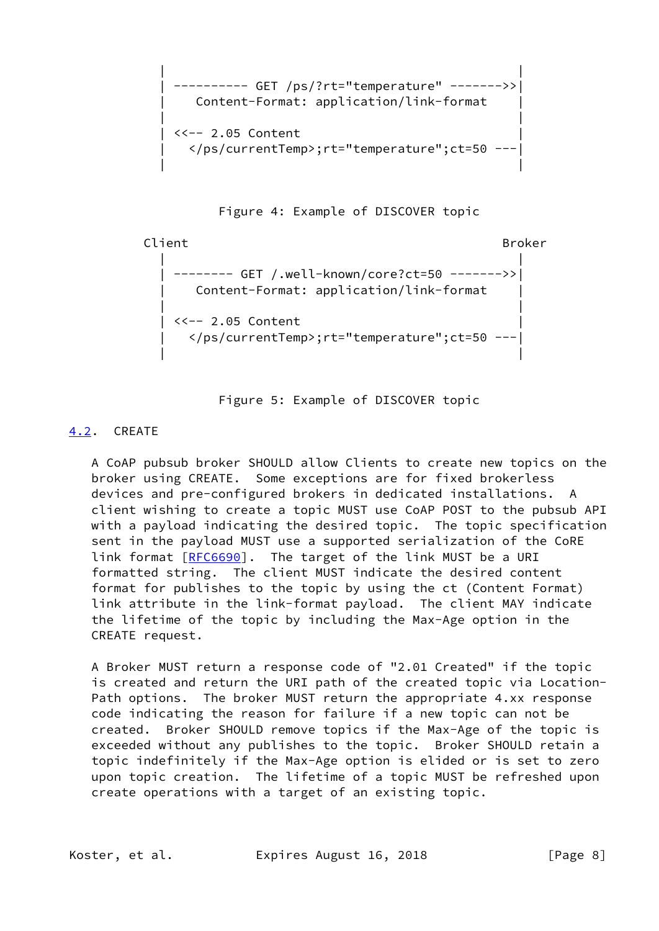```
 | |
       | ---------- GET /ps/?rt="temperature" ------->>|
       Content-Format: application/link-format
| |
      \langle -2.05 Content
        | </ps/currentTemp>;rt="temperature";ct=50 ---|
| |
```
Figure 4: Example of DISCOVER topic

```
Client Broker and Broker and Broker and Broker
| |
       | -------- GET /.well-known/core?ct=50 ------->>|
        | Content-Format: application/link-format |
| |
      <<-- 2.05 Content
        | </ps/currentTemp>;rt="temperature";ct=50 ---|
| |
```
Figure 5: Example of DISCOVER topic

# <span id="page-8-0"></span>[4.2](#page-8-0). CREATE

 A CoAP pubsub broker SHOULD allow Clients to create new topics on the broker using CREATE. Some exceptions are for fixed brokerless devices and pre-configured brokers in dedicated installations. A client wishing to create a topic MUST use CoAP POST to the pubsub API with a payload indicating the desired topic. The topic specification sent in the payload MUST use a supported serialization of the CoRE link format [\[RFC6690](https://datatracker.ietf.org/doc/pdf/rfc6690)]. The target of the link MUST be a URI formatted string. The client MUST indicate the desired content format for publishes to the topic by using the ct (Content Format) link attribute in the link-format payload. The client MAY indicate the lifetime of the topic by including the Max-Age option in the CREATE request.

 A Broker MUST return a response code of "2.01 Created" if the topic is created and return the URI path of the created topic via Location- Path options. The broker MUST return the appropriate 4.xx response code indicating the reason for failure if a new topic can not be created. Broker SHOULD remove topics if the Max-Age of the topic is exceeded without any publishes to the topic. Broker SHOULD retain a topic indefinitely if the Max-Age option is elided or is set to zero upon topic creation. The lifetime of a topic MUST be refreshed upon create operations with a target of an existing topic.

Koster, et al. Expires August 16, 2018 [Page 8]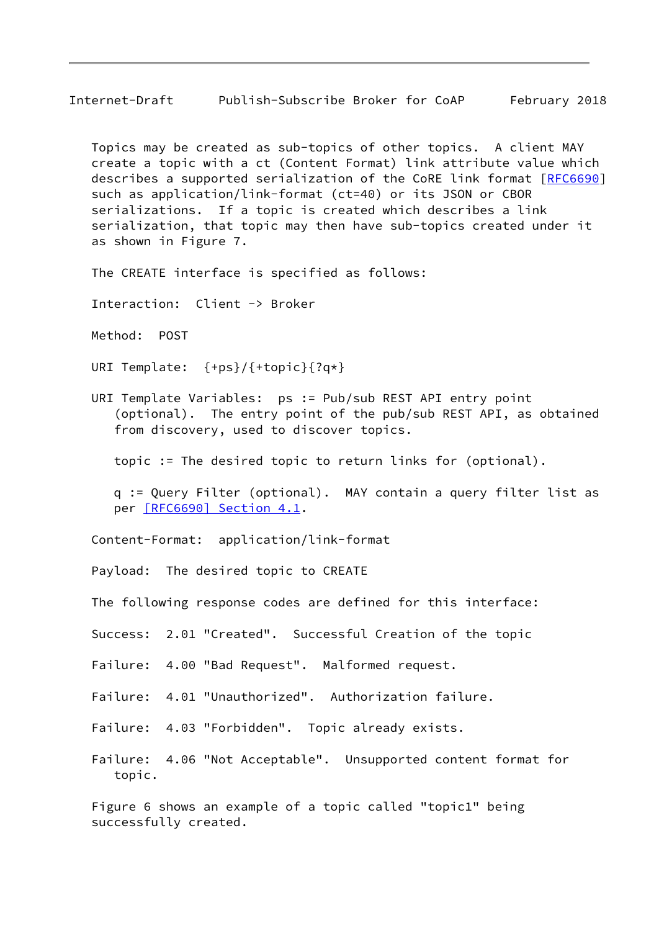Internet-Draft Publish-Subscribe Broker for CoAP February 2018

 Topics may be created as sub-topics of other topics. A client MAY create a topic with a ct (Content Format) link attribute value which describes a supported serialization of the CoRE link format [\[RFC6690](https://datatracker.ietf.org/doc/pdf/rfc6690)] such as application/link-format (ct=40) or its JSON or CBOR serializations. If a topic is created which describes a link serialization, that topic may then have sub-topics created under it as shown in Figure 7.

The CREATE interface is specified as follows:

Interaction: Client -> Broker

Method: POST

URI Template: {+ps}/{+topic}{?q\*}

 URI Template Variables: ps := Pub/sub REST API entry point (optional). The entry point of the pub/sub REST API, as obtained from discovery, used to discover topics.

topic := The desired topic to return links for (optional).

 q := Query Filter (optional). MAY contain a query filter list as per [\[RFC6690\] Section](https://datatracker.ietf.org/doc/pdf/rfc6690#section-4.1) 4.1.

Content-Format: application/link-format

Payload: The desired topic to CREATE

The following response codes are defined for this interface:

Success: 2.01 "Created". Successful Creation of the topic

Failure: 4.00 "Bad Request". Malformed request.

Failure: 4.01 "Unauthorized". Authorization failure.

Failure: 4.03 "Forbidden". Topic already exists.

 Failure: 4.06 "Not Acceptable". Unsupported content format for topic.

 Figure 6 shows an example of a topic called "topic1" being successfully created.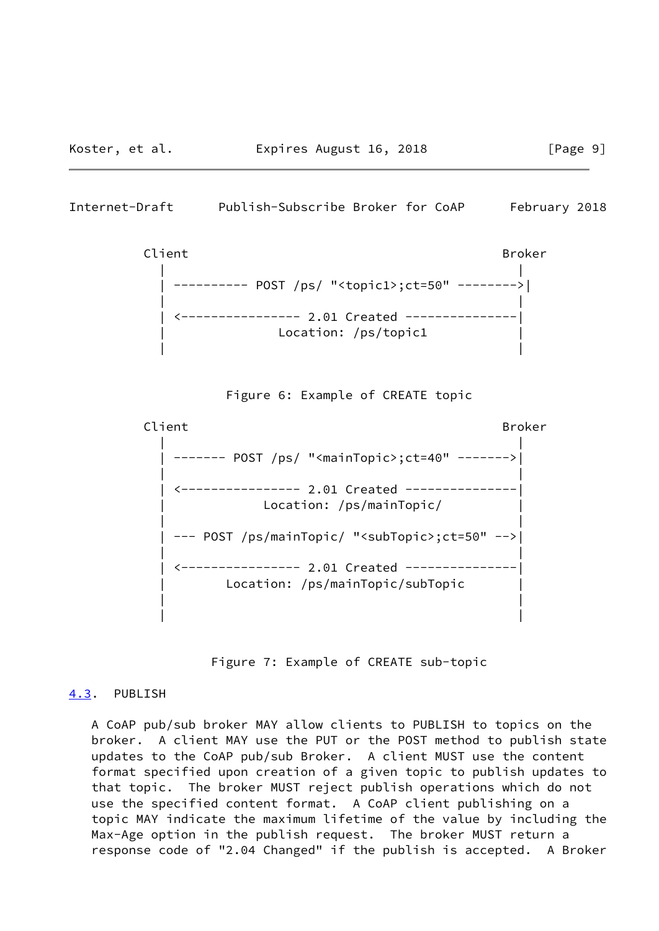<span id="page-10-1"></span>Internet-Draft Publish-Subscribe Broker for CoAP February 2018





Client Broker and Broker and Broker and Broker | | | ------- POST /ps/ "<mainTopic>;ct=40" ------->| | | | <---------------- 2.01 Created ---------------| | Location: /ps/mainTopic/ | | | | --- POST /ps/mainTopic/ "<subTopic>;ct=50" -->| | | | <---------------- 2.01 Created ---------------| Location: /ps/mainTopic/subTopic | | | |

Figure 7: Example of CREATE sub-topic

### <span id="page-10-0"></span>[4.3](#page-10-0). PUBLISH

 A CoAP pub/sub broker MAY allow clients to PUBLISH to topics on the broker. A client MAY use the PUT or the POST method to publish state updates to the CoAP pub/sub Broker. A client MUST use the content format specified upon creation of a given topic to publish updates to that topic. The broker MUST reject publish operations which do not use the specified content format. A CoAP client publishing on a topic MAY indicate the maximum lifetime of the value by including the Max-Age option in the publish request. The broker MUST return a response code of "2.04 Changed" if the publish is accepted. A Broker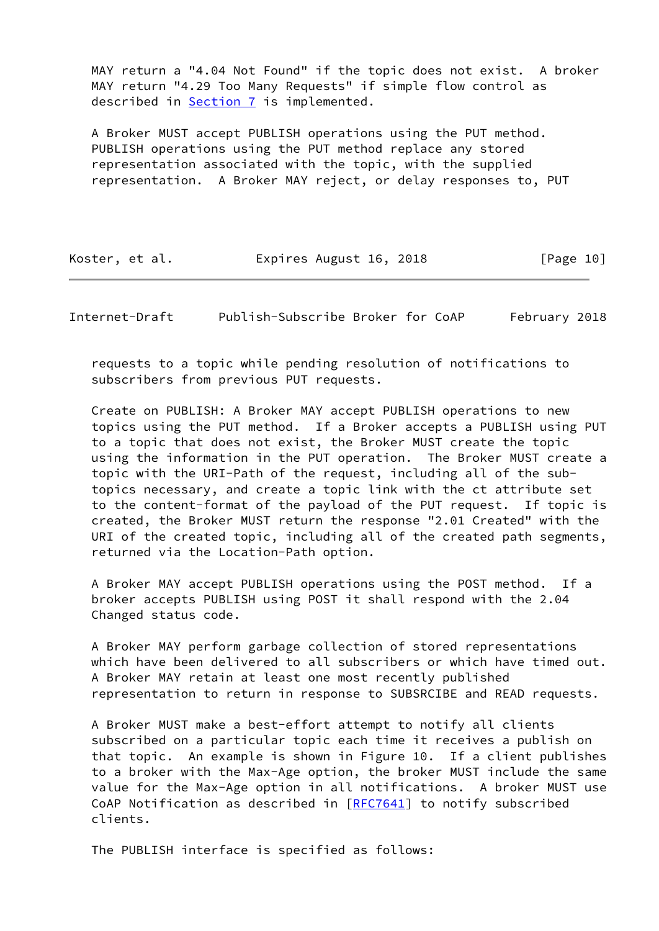MAY return a "4.04 Not Found" if the topic does not exist. A broker MAY return "4.29 Too Many Requests" if simple flow control as described in **Section 7** is implemented.

 A Broker MUST accept PUBLISH operations using the PUT method. PUBLISH operations using the PUT method replace any stored representation associated with the topic, with the supplied representation. A Broker MAY reject, or delay responses to, PUT

| Koster, et al. | Expires August 16, 2018 | [Page 10] |
|----------------|-------------------------|-----------|
|----------------|-------------------------|-----------|

Internet-Draft Publish-Subscribe Broker for CoAP February 2018

 requests to a topic while pending resolution of notifications to subscribers from previous PUT requests.

 Create on PUBLISH: A Broker MAY accept PUBLISH operations to new topics using the PUT method. If a Broker accepts a PUBLISH using PUT to a topic that does not exist, the Broker MUST create the topic using the information in the PUT operation. The Broker MUST create a topic with the URI-Path of the request, including all of the sub topics necessary, and create a topic link with the ct attribute set to the content-format of the payload of the PUT request. If topic is created, the Broker MUST return the response "2.01 Created" with the URI of the created topic, including all of the created path segments, returned via the Location-Path option.

 A Broker MAY accept PUBLISH operations using the POST method. If a broker accepts PUBLISH using POST it shall respond with the 2.04 Changed status code.

 A Broker MAY perform garbage collection of stored representations which have been delivered to all subscribers or which have timed out. A Broker MAY retain at least one most recently published representation to return in response to SUBSRCIBE and READ requests.

 A Broker MUST make a best-effort attempt to notify all clients subscribed on a particular topic each time it receives a publish on that topic. An example is shown in Figure 10. If a client publishes to a broker with the Max-Age option, the broker MUST include the same value for the Max-Age option in all notifications. A broker MUST use CoAP Notification as described in  $RFC7641$ ] to notify subscribed clients.

The PUBLISH interface is specified as follows: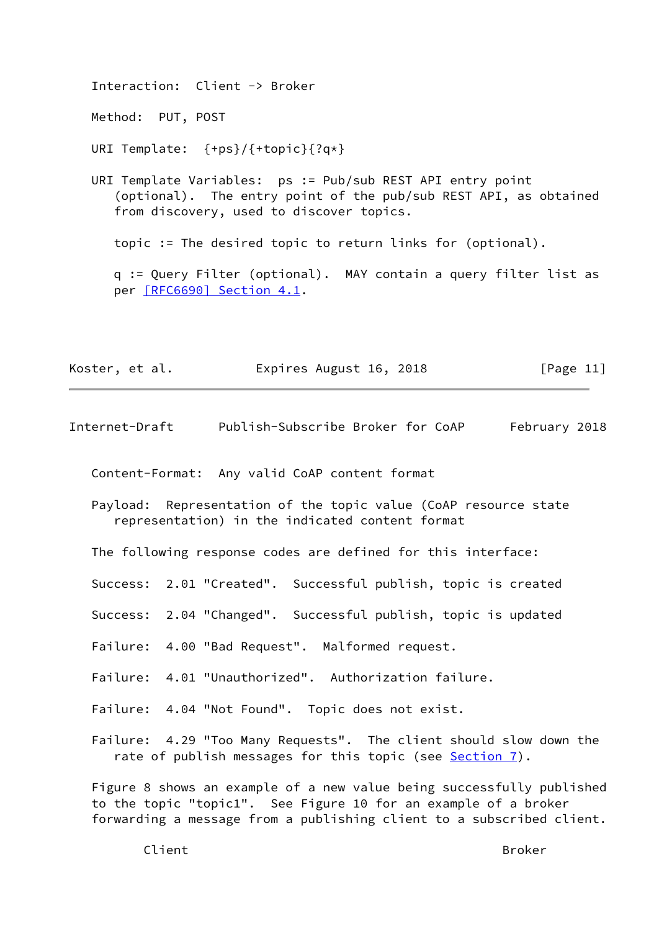Interaction: Client -> Broker Method: PUT, POST URI Template: {+ps}/{+topic}{?q\*} URI Template Variables: ps := Pub/sub REST API entry point (optional). The entry point of the pub/sub REST API, as obtained from discovery, used to discover topics. topic := The desired topic to return links for (optional). q := Query Filter (optional). MAY contain a query filter list as per [\[RFC6690\] Section](https://datatracker.ietf.org/doc/pdf/rfc6690#section-4.1) 4.1.

| Koster, et al. | Expires August 16, 2018 | [Page 11] |
|----------------|-------------------------|-----------|
|----------------|-------------------------|-----------|

Internet-Draft Publish-Subscribe Broker for CoAP February 2018

Content-Format: Any valid CoAP content format

 Payload: Representation of the topic value (CoAP resource state representation) in the indicated content format

The following response codes are defined for this interface:

Success: 2.01 "Created". Successful publish, topic is created

Success: 2.04 "Changed". Successful publish, topic is updated

Failure: 4.00 "Bad Request". Malformed request.

Failure: 4.01 "Unauthorized". Authorization failure.

Failure: 4.04 "Not Found". Topic does not exist.

 Failure: 4.29 "Too Many Requests". The client should slow down the rate of publish messages for this topic (see **Section 7**).

 Figure 8 shows an example of a new value being successfully published to the topic "topic1". See Figure 10 for an example of a broker forwarding a message from a publishing client to a subscribed client.

Client Broker and Broker and Broker and Broker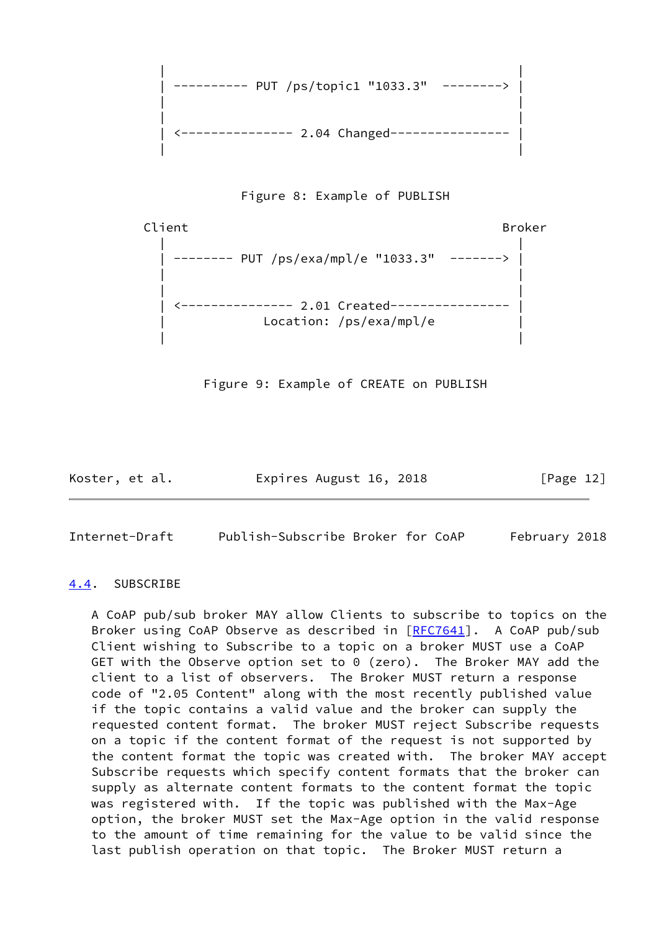





Figure 9: Example of CREATE on PUBLISH

Koster, et al. Expires August 16, 2018 [Page 12]

<span id="page-13-1"></span>Internet-Draft Publish-Subscribe Broker for CoAP February 2018

# <span id="page-13-0"></span>[4.4](#page-13-0). SUBSCRIBE

 A CoAP pub/sub broker MAY allow Clients to subscribe to topics on the Broker using CoAP Observe as described in [[RFC7641](https://datatracker.ietf.org/doc/pdf/rfc7641)]. A CoAP pub/sub Client wishing to Subscribe to a topic on a broker MUST use a CoAP GET with the Observe option set to 0 (zero). The Broker MAY add the client to a list of observers. The Broker MUST return a response code of "2.05 Content" along with the most recently published value if the topic contains a valid value and the broker can supply the requested content format. The broker MUST reject Subscribe requests on a topic if the content format of the request is not supported by the content format the topic was created with. The broker MAY accept Subscribe requests which specify content formats that the broker can supply as alternate content formats to the content format the topic was registered with. If the topic was published with the Max-Age option, the broker MUST set the Max-Age option in the valid response to the amount of time remaining for the value to be valid since the last publish operation on that topic. The Broker MUST return a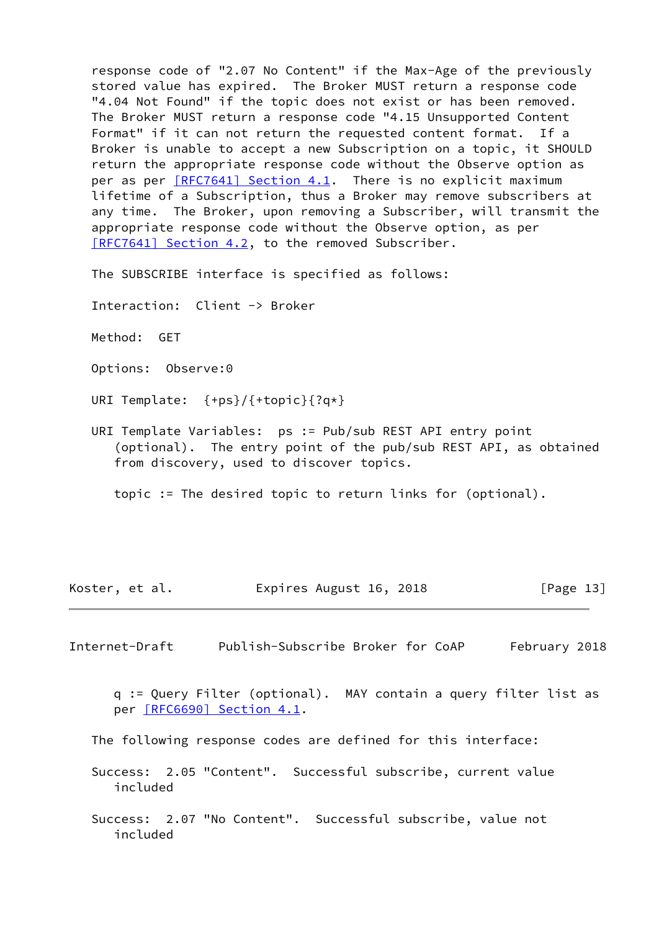response code of "2.07 No Content" if the Max-Age of the previously stored value has expired. The Broker MUST return a response code "4.04 Not Found" if the topic does not exist or has been removed. The Broker MUST return a response code "4.15 Unsupported Content Format" if it can not return the requested content format. If a Broker is unable to accept a new Subscription on a topic, it SHOULD return the appropriate response code without the Observe option as per as per  $[RFC7641]$  Section 4.1. There is no explicit maximum lifetime of a Subscription, thus a Broker may remove subscribers at any time. The Broker, upon removing a Subscriber, will transmit the appropriate response code without the Observe option, as per [\[RFC7641\] Section](https://datatracker.ietf.org/doc/pdf/rfc7641#section-4.2) 4.2, to the removed Subscriber.

The SUBSCRIBE interface is specified as follows:

Interaction: Client -> Broker

Method: GET

Options: Observe:0

URI Template: {+ps}/{+topic}{?q\*}

 URI Template Variables: ps := Pub/sub REST API entry point (optional). The entry point of the pub/sub REST API, as obtained from discovery, used to discover topics.

topic := The desired topic to return links for (optional).

| Koster, et al. | Expires August 16, 2018 | [Page 13] |
|----------------|-------------------------|-----------|
|----------------|-------------------------|-----------|

<span id="page-14-0"></span>Internet-Draft Publish-Subscribe Broker for CoAP February 2018

 q := Query Filter (optional). MAY contain a query filter list as per [\[RFC6690\] Section](https://datatracker.ietf.org/doc/pdf/rfc6690#section-4.1) 4.1.

The following response codes are defined for this interface:

 Success: 2.05 "Content". Successful subscribe, current value included

 Success: 2.07 "No Content". Successful subscribe, value not included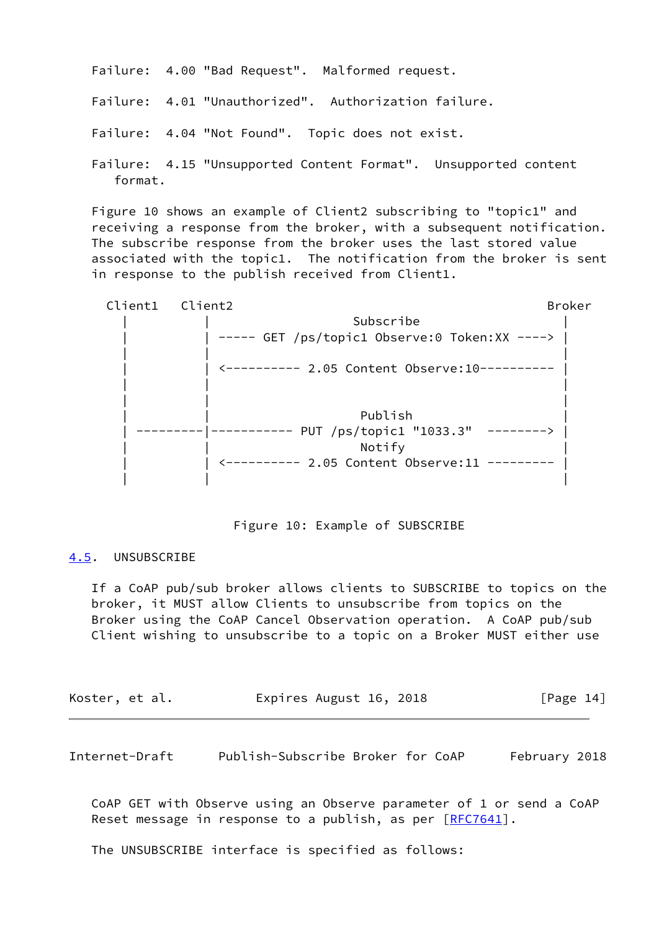Failure: 4.00 "Bad Request". Malformed request.

Failure: 4.01 "Unauthorized". Authorization failure.

Failure: 4.04 "Not Found". Topic does not exist.

 Failure: 4.15 "Unsupported Content Format". Unsupported content format.

 Figure 10 shows an example of Client2 subscribing to "topic1" and receiving a response from the broker, with a subsequent notification. The subscribe response from the broker uses the last stored value associated with the topic1. The notification from the broker is sent in response to the publish received from Client1.



## Figure 10: Example of SUBSCRIBE

# <span id="page-15-0"></span>[4.5](#page-15-0). UNSUBSCRIBE

 If a CoAP pub/sub broker allows clients to SUBSCRIBE to topics on the broker, it MUST allow Clients to unsubscribe from topics on the Broker using the CoAP Cancel Observation operation. A CoAP pub/sub Client wishing to unsubscribe to a topic on a Broker MUST either use

| Koster, et al. | Expires August 16, 2018 | [Page 14] |
|----------------|-------------------------|-----------|
|----------------|-------------------------|-----------|

Internet-Draft Publish-Subscribe Broker for CoAP February 2018

 CoAP GET with Observe using an Observe parameter of 1 or send a CoAP Reset message in response to a publish, as per [\[RFC7641](https://datatracker.ietf.org/doc/pdf/rfc7641)].

The UNSUBSCRIBE interface is specified as follows: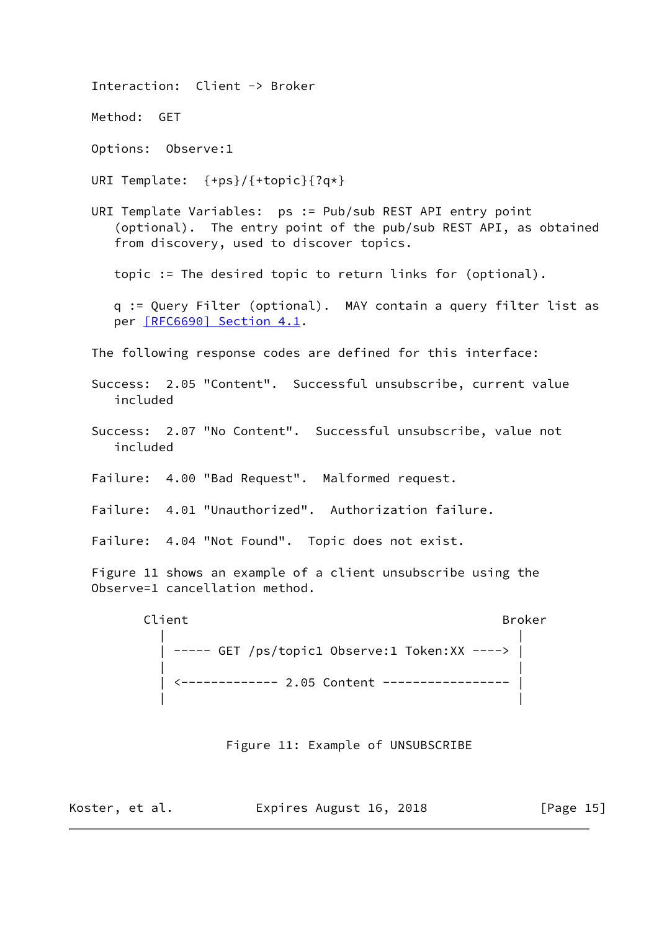Interaction: Client -> Broker Method: GET Options: Observe:1 URI Template: {+ps}/{+topic}{?q\*} URI Template Variables: ps := Pub/sub REST API entry point (optional). The entry point of the pub/sub REST API, as obtained from discovery, used to discover topics. topic := The desired topic to return links for (optional). q := Query Filter (optional). MAY contain a query filter list as per [\[RFC6690\] Section](https://datatracker.ietf.org/doc/pdf/rfc6690#section-4.1) 4.1. The following response codes are defined for this interface: Success: 2.05 "Content". Successful unsubscribe, current value included Success: 2.07 "No Content". Successful unsubscribe, value not included Failure: 4.00 "Bad Request". Malformed request. Failure: 4.01 "Unauthorized". Authorization failure. Failure: 4.04 "Not Found". Topic does not exist. Figure 11 shows an example of a client unsubscribe using the Observe=1 cancellation method. Client Broker and Broker and Broker and Broker | | | ----- GET /ps/topic1 Observe:1 Token:XX ----> | | | | <------------- 2.05 Content ----------------- | | | Figure 11: Example of UNSUBSCRIBE Koster, et al. **Expires August 16, 2018** [Page 15]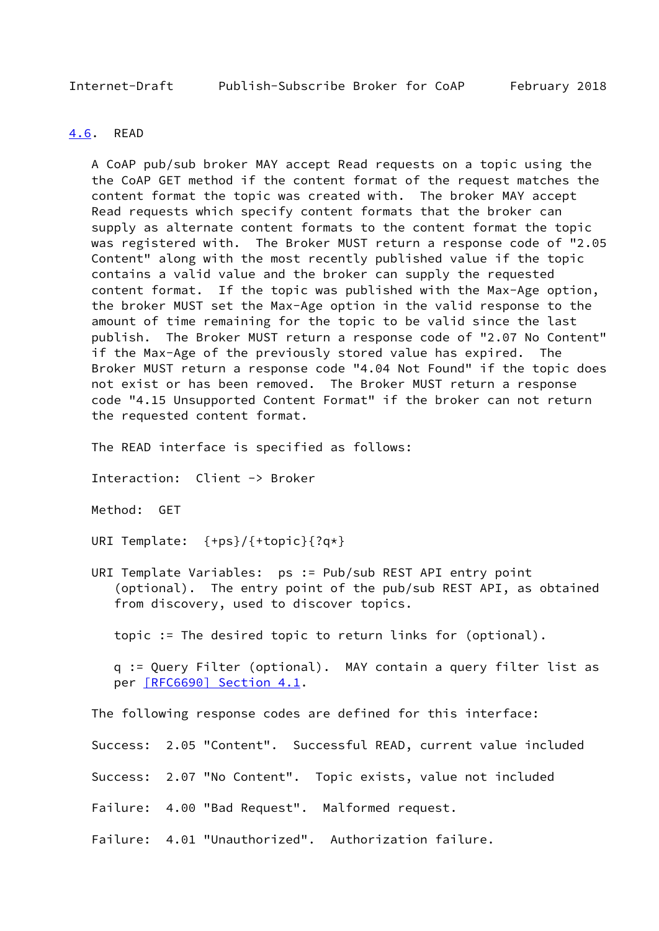<span id="page-17-1"></span>Internet-Draft Publish-Subscribe Broker for CoAP February 2018

## <span id="page-17-0"></span>[4.6](#page-17-0). READ

 A CoAP pub/sub broker MAY accept Read requests on a topic using the the CoAP GET method if the content format of the request matches the content format the topic was created with. The broker MAY accept Read requests which specify content formats that the broker can supply as alternate content formats to the content format the topic was registered with. The Broker MUST return a response code of "2.05 Content" along with the most recently published value if the topic contains a valid value and the broker can supply the requested content format. If the topic was published with the Max-Age option, the broker MUST set the Max-Age option in the valid response to the amount of time remaining for the topic to be valid since the last publish. The Broker MUST return a response code of "2.07 No Content" if the Max-Age of the previously stored value has expired. The Broker MUST return a response code "4.04 Not Found" if the topic does not exist or has been removed. The Broker MUST return a response code "4.15 Unsupported Content Format" if the broker can not return the requested content format.

The READ interface is specified as follows:

Interaction: Client -> Broker

Method: GET

URI Template: {+ps}/{+topic}{?q\*}

 URI Template Variables: ps := Pub/sub REST API entry point (optional). The entry point of the pub/sub REST API, as obtained from discovery, used to discover topics.

topic := The desired topic to return links for (optional).

 q := Query Filter (optional). MAY contain a query filter list as per [\[RFC6690\] Section](https://datatracker.ietf.org/doc/pdf/rfc6690#section-4.1) 4.1.

The following response codes are defined for this interface:

Success: 2.05 "Content". Successful READ, current value included

Success: 2.07 "No Content". Topic exists, value not included

Failure: 4.00 "Bad Request". Malformed request.

Failure: 4.01 "Unauthorized". Authorization failure.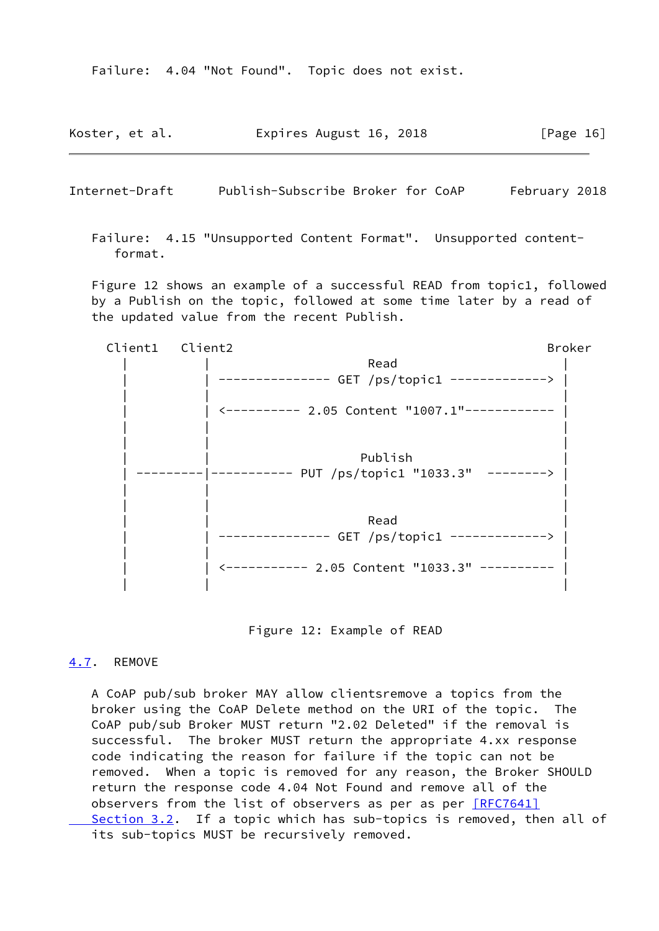Failure: 4.04 "Not Found". Topic does not exist.

| Koster, et al. | Expires August 16, 2018 | [Page 16] |
|----------------|-------------------------|-----------|
|----------------|-------------------------|-----------|

<span id="page-18-1"></span>Internet-Draft Publish-Subscribe Broker for CoAP February 2018

 Failure: 4.15 "Unsupported Content Format". Unsupported content format.

 Figure 12 shows an example of a successful READ from topic1, followed by a Publish on the topic, followed at some time later by a read of the updated value from the recent Publish.

 Client1 Client2 Broker | | Read | | | --------------- GET /ps/topic1 -------------> | | | | | | <---------- 2.05 Content "1007.1"------------ | | | | | | | Publish | ---------|----------- PUT /ps/topic1 "1033.3" --------> | | | | | | | | | Read | | | --------------- GET /ps/topic1 -------------> | | | | | | <----------- 2.05 Content "1033.3" ---------- | | | |

Figure 12: Example of READ

# <span id="page-18-0"></span>[4.7](#page-18-0). REMOVE

 A CoAP pub/sub broker MAY allow clientsremove a topics from the broker using the CoAP Delete method on the URI of the topic. The CoAP pub/sub Broker MUST return "2.02 Deleted" if the removal is successful. The broker MUST return the appropriate 4.xx response code indicating the reason for failure if the topic can not be removed. When a topic is removed for any reason, the Broker SHOULD return the response code 4.04 Not Found and remove all of the observers from the list of observers as per as per  $[REC7641]$  [Section](https://datatracker.ietf.org/doc/pdf/rfc7641#section-3.2) 3.2. If a topic which has sub-topics is removed, then all of its sub-topics MUST be recursively removed.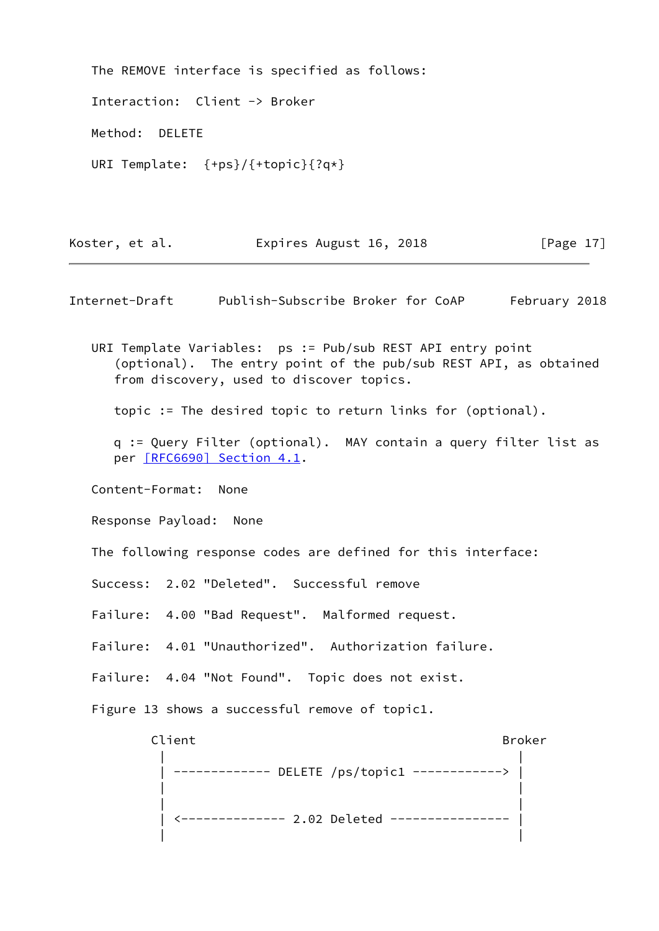The REMOVE interface is specified as follows: Interaction: Client -> Broker Method: DELETE URI Template: {+ps}/{+topic}{?q\*}

Koster, et al. **Expires August 16, 2018** [Page 17]

<span id="page-19-0"></span>Internet-Draft Publish-Subscribe Broker for CoAP February 2018

 URI Template Variables: ps := Pub/sub REST API entry point (optional). The entry point of the pub/sub REST API, as obtained from discovery, used to discover topics.

topic := The desired topic to return links for (optional).

 q := Query Filter (optional). MAY contain a query filter list as per [\[RFC6690\] Section](https://datatracker.ietf.org/doc/pdf/rfc6690#section-4.1) 4.1.

Content-Format: None

Response Payload: None

The following response codes are defined for this interface:

Success: 2.02 "Deleted". Successful remove

Failure: 4.00 "Bad Request". Malformed request.

Failure: 4.01 "Unauthorized". Authorization failure.

Failure: 4.04 "Not Found". Topic does not exist.

Figure 13 shows a successful remove of topic1.

Client Broker (1999) and the set of the set of the set of the set of the set of the set of the set of the set o | | | ------------- DELETE /ps/topic1 ------------> | | | | | | <-------------- 2.02 Deleted ---------------- | | |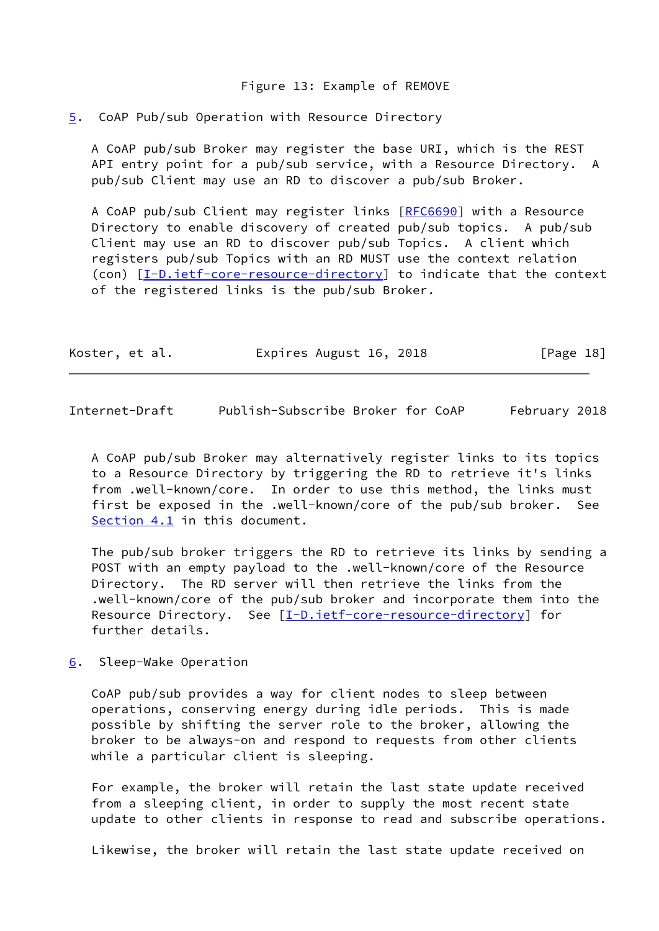#### Figure 13: Example of REMOVE

#### <span id="page-20-0"></span>[5](#page-20-0). CoAP Pub/sub Operation with Resource Directory

 A CoAP pub/sub Broker may register the base URI, which is the REST API entry point for a pub/sub service, with a Resource Directory. A pub/sub Client may use an RD to discover a pub/sub Broker.

 A CoAP pub/sub Client may register links [\[RFC6690](https://datatracker.ietf.org/doc/pdf/rfc6690)] with a Resource Directory to enable discovery of created pub/sub topics. A pub/sub Client may use an RD to discover pub/sub Topics. A client which registers pub/sub Topics with an RD MUST use the context relation (con) [[I-D.ietf-core-resource-directory\]](#page-25-1) to indicate that the context of the registered links is the pub/sub Broker.

| Koster, et al. | Expires August 16, 2018 | [Page 18] |
|----------------|-------------------------|-----------|
|----------------|-------------------------|-----------|

<span id="page-20-2"></span>Internet-Draft Publish-Subscribe Broker for CoAP February 2018

 A CoAP pub/sub Broker may alternatively register links to its topics to a Resource Directory by triggering the RD to retrieve it's links from .well-known/core. In order to use this method, the links must first be exposed in the .well-known/core of the pub/sub broker. See [Section 4.1](#page-5-3) in this document.

 The pub/sub broker triggers the RD to retrieve its links by sending a POST with an empty payload to the .well-known/core of the Resource Directory. The RD server will then retrieve the links from the .well-known/core of the pub/sub broker and incorporate them into the Resource Directory. See [\[I-D.ietf-core-resource-directory](#page-25-1)] for further details.

<span id="page-20-1"></span>[6](#page-20-1). Sleep-Wake Operation

 CoAP pub/sub provides a way for client nodes to sleep between operations, conserving energy during idle periods. This is made possible by shifting the server role to the broker, allowing the broker to be always-on and respond to requests from other clients while a particular client is sleeping.

 For example, the broker will retain the last state update received from a sleeping client, in order to supply the most recent state update to other clients in response to read and subscribe operations.

Likewise, the broker will retain the last state update received on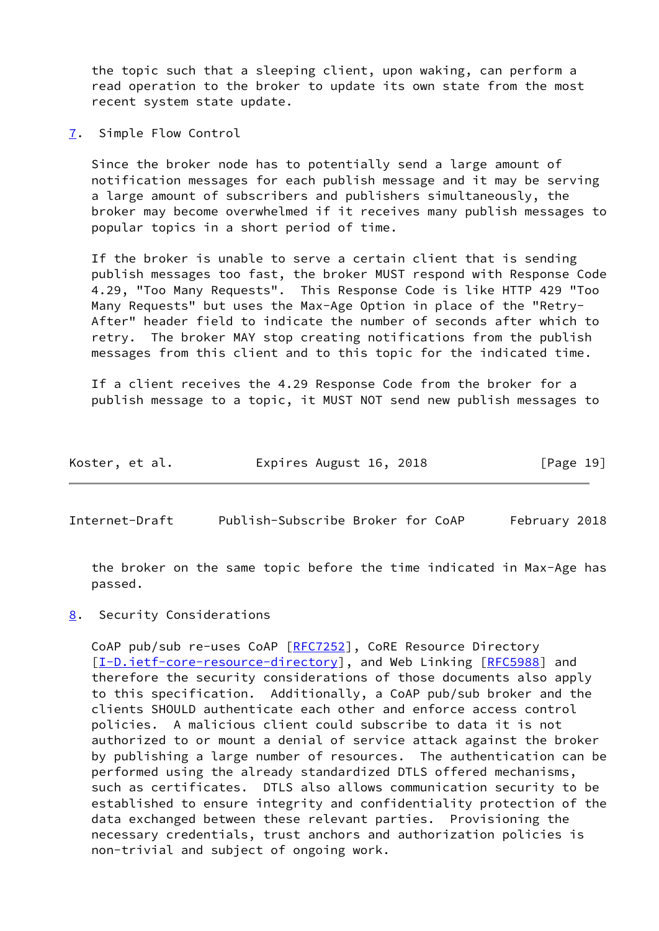the topic such that a sleeping client, upon waking, can perform a read operation to the broker to update its own state from the most recent system state update.

<span id="page-21-0"></span>[7](#page-21-0). Simple Flow Control

 Since the broker node has to potentially send a large amount of notification messages for each publish message and it may be serving a large amount of subscribers and publishers simultaneously, the broker may become overwhelmed if it receives many publish messages to popular topics in a short period of time.

 If the broker is unable to serve a certain client that is sending publish messages too fast, the broker MUST respond with Response Code 4.29, "Too Many Requests". This Response Code is like HTTP 429 "Too Many Requests" but uses the Max-Age Option in place of the "Retry- After" header field to indicate the number of seconds after which to retry. The broker MAY stop creating notifications from the publish messages from this client and to this topic for the indicated time.

 If a client receives the 4.29 Response Code from the broker for a publish message to a topic, it MUST NOT send new publish messages to

| Koster, et al. | Expires August 16, 2018 | [Page 19] |
|----------------|-------------------------|-----------|
|----------------|-------------------------|-----------|

<span id="page-21-2"></span>Internet-Draft Publish-Subscribe Broker for CoAP February 2018

 the broker on the same topic before the time indicated in Max-Age has passed.

<span id="page-21-1"></span>[8](#page-21-1). Security Considerations

CoAP pub/sub re-uses CoAP [[RFC7252](https://datatracker.ietf.org/doc/pdf/rfc7252)], CoRE Resource Directory [\[I-D.ietf-core-resource-directory](#page-25-1)], and Web Linking [\[RFC5988](https://datatracker.ietf.org/doc/pdf/rfc5988)] and therefore the security considerations of those documents also apply to this specification. Additionally, a CoAP pub/sub broker and the clients SHOULD authenticate each other and enforce access control policies. A malicious client could subscribe to data it is not authorized to or mount a denial of service attack against the broker by publishing a large number of resources. The authentication can be performed using the already standardized DTLS offered mechanisms, such as certificates. DTLS also allows communication security to be established to ensure integrity and confidentiality protection of the data exchanged between these relevant parties. Provisioning the necessary credentials, trust anchors and authorization policies is non-trivial and subject of ongoing work.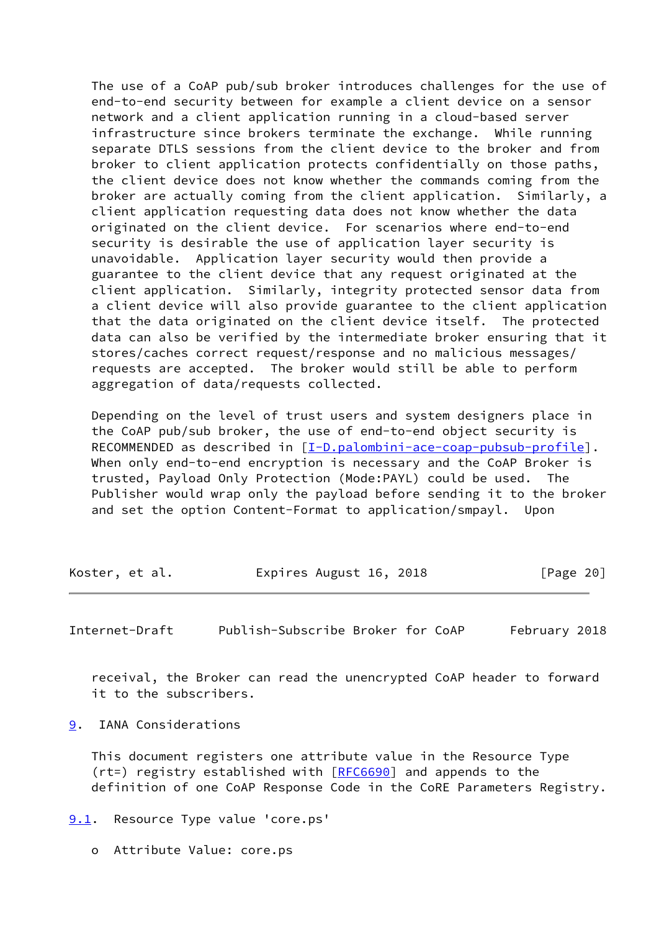The use of a CoAP pub/sub broker introduces challenges for the use of end-to-end security between for example a client device on a sensor network and a client application running in a cloud-based server infrastructure since brokers terminate the exchange. While running separate DTLS sessions from the client device to the broker and from broker to client application protects confidentially on those paths, the client device does not know whether the commands coming from the broker are actually coming from the client application. Similarly, a client application requesting data does not know whether the data originated on the client device. For scenarios where end-to-end security is desirable the use of application layer security is unavoidable. Application layer security would then provide a guarantee to the client device that any request originated at the client application. Similarly, integrity protected sensor data from a client device will also provide guarantee to the client application that the data originated on the client device itself. The protected data can also be verified by the intermediate broker ensuring that it stores/caches correct request/response and no malicious messages/ requests are accepted. The broker would still be able to perform aggregation of data/requests collected.

 Depending on the level of trust users and system designers place in the CoAP pub/sub broker, the use of end-to-end object security is RECOMMENDED as described in  $[I-D.palombini-ace-coap-pubsub-profile]$  $[I-D.palombini-ace-coap-pubsub-profile]$ . When only end-to-end encryption is necessary and the CoAP Broker is trusted, Payload Only Protection (Mode:PAYL) could be used. The Publisher would wrap only the payload before sending it to the broker and set the option Content-Format to application/smpayl. Upon

| Koster, et al. | Expires August 16, 2018 | [Page 20] |
|----------------|-------------------------|-----------|
|----------------|-------------------------|-----------|

<span id="page-22-1"></span>Internet-Draft Publish-Subscribe Broker for CoAP February 2018

 receival, the Broker can read the unencrypted CoAP header to forward it to the subscribers.

<span id="page-22-0"></span>[9](#page-22-0). IANA Considerations

 This document registers one attribute value in the Resource Type (rt=) registry established with [\[RFC6690](https://datatracker.ietf.org/doc/pdf/rfc6690)] and appends to the definition of one CoAP Response Code in the CoRE Parameters Registry.

<span id="page-22-2"></span>[9.1](#page-22-2). Resource Type value 'core.ps'

o Attribute Value: core.ps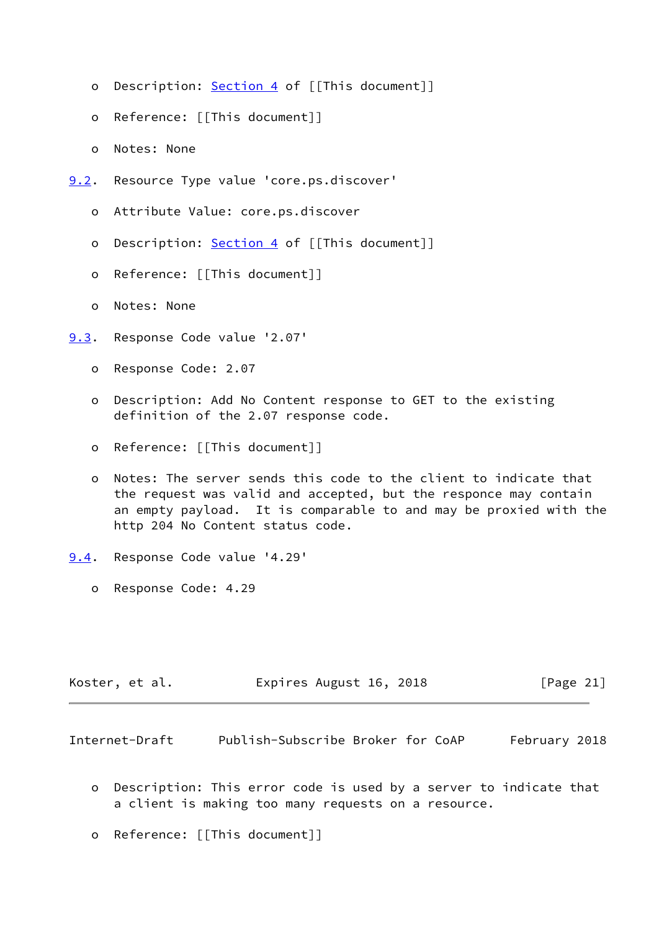- o Description: **Section 4** of [[This document]]
- o Reference: [[This document]]
- o Notes: None
- <span id="page-23-0"></span>[9.2](#page-23-0). Resource Type value 'core.ps.discover'
	- o Attribute Value: core.ps.discover
	- o Description: [Section 4](#page-5-1) of [[This document]]
	- o Reference: [[This document]]
	- o Notes: None
- <span id="page-23-1"></span>[9.3](#page-23-1). Response Code value '2.07'
	- o Response Code: 2.07
	- o Description: Add No Content response to GET to the existing definition of the 2.07 response code.
	- o Reference: [[This document]]
	- o Notes: The server sends this code to the client to indicate that the request was valid and accepted, but the responce may contain an empty payload. It is comparable to and may be proxied with the http 204 No Content status code.
- <span id="page-23-2"></span>[9.4](#page-23-2). Response Code value '4.29'
	- o Response Code: 4.29

| Koster, et al. | Expires August 16, 2018 |  |  |  | [Page 21] |  |
|----------------|-------------------------|--|--|--|-----------|--|
|----------------|-------------------------|--|--|--|-----------|--|

<span id="page-23-3"></span>Internet-Draft Publish-Subscribe Broker for CoAP February 2018

- o Description: This error code is used by a server to indicate that a client is making too many requests on a resource.
- o Reference: [[This document]]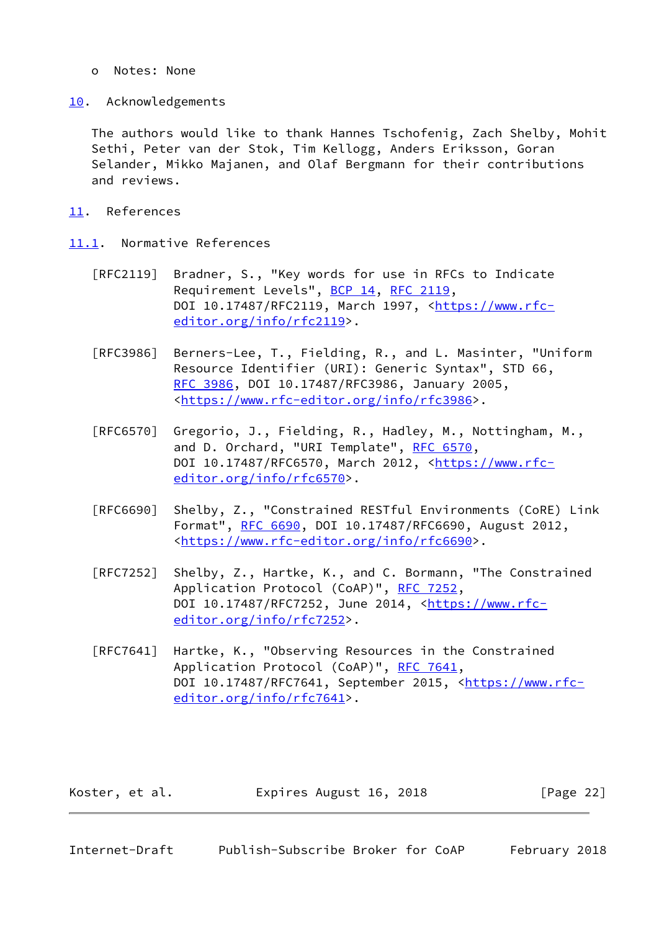- o Notes: None
- <span id="page-24-0"></span>[10.](#page-24-0) Acknowledgements

 The authors would like to thank Hannes Tschofenig, Zach Shelby, Mohit Sethi, Peter van der Stok, Tim Kellogg, Anders Eriksson, Goran Selander, Mikko Majanen, and Olaf Bergmann for their contributions and reviews.

- <span id="page-24-1"></span>[11.](#page-24-1) References
- <span id="page-24-2"></span>[11.1](#page-24-2). Normative References
	- [RFC2119] Bradner, S., "Key words for use in RFCs to Indicate Requirement Levels", [BCP 14](https://datatracker.ietf.org/doc/pdf/bcp14), [RFC 2119](https://datatracker.ietf.org/doc/pdf/rfc2119), DOI 10.17487/RFC2119, March 1997, [<https://www.rfc](https://www.rfc-editor.org/info/rfc2119) [editor.org/info/rfc2119](https://www.rfc-editor.org/info/rfc2119)>.
	- [RFC3986] Berners-Lee, T., Fielding, R., and L. Masinter, "Uniform Resource Identifier (URI): Generic Syntax", STD 66, [RFC 3986,](https://datatracker.ietf.org/doc/pdf/rfc3986) DOI 10.17487/RFC3986, January 2005, <[https://www.rfc-editor.org/info/rfc3986>](https://www.rfc-editor.org/info/rfc3986).
	- [RFC6570] Gregorio, J., Fielding, R., Hadley, M., Nottingham, M., and D. Orchard, "URI Template", [RFC 6570,](https://datatracker.ietf.org/doc/pdf/rfc6570) DOI 10.17487/RFC6570, March 2012, [<https://www.rfc](https://www.rfc-editor.org/info/rfc6570) [editor.org/info/rfc6570](https://www.rfc-editor.org/info/rfc6570)>.
	- [RFC6690] Shelby, Z., "Constrained RESTful Environments (CoRE) Link Format", [RFC 6690,](https://datatracker.ietf.org/doc/pdf/rfc6690) DOI 10.17487/RFC6690, August 2012, <[https://www.rfc-editor.org/info/rfc6690>](https://www.rfc-editor.org/info/rfc6690).
	- [RFC7252] Shelby, Z., Hartke, K., and C. Bormann, "The Constrained Application Protocol (CoAP)", [RFC 7252](https://datatracker.ietf.org/doc/pdf/rfc7252), DOI 10.17487/RFC7252, June 2014, [<https://www.rfc](https://www.rfc-editor.org/info/rfc7252) [editor.org/info/rfc7252](https://www.rfc-editor.org/info/rfc7252)>.
	- [RFC7641] Hartke, K., "Observing Resources in the Constrained Application Protocol (CoAP)", [RFC 7641](https://datatracker.ietf.org/doc/pdf/rfc7641), DOI 10.17487/RFC7641, September 2015, [<https://www.rfc](https://www.rfc-editor.org/info/rfc7641) [editor.org/info/rfc7641](https://www.rfc-editor.org/info/rfc7641)>.

| Koster, et al. | Expires August 16, 2018 | [Page 22] |
|----------------|-------------------------|-----------|
|----------------|-------------------------|-----------|

<span id="page-24-3"></span>Internet-Draft Publish-Subscribe Broker for CoAP February 2018